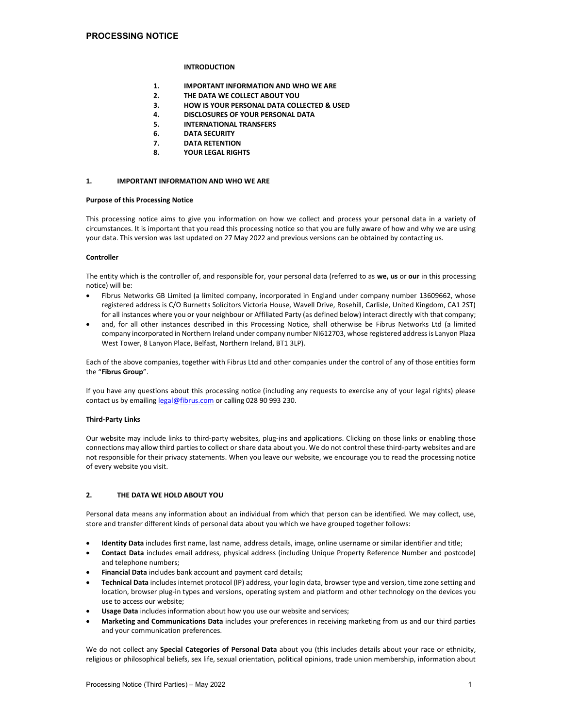## **INTRODUCTION**

- 1. IMPORTANT INFORMATION AND WHO WE ARE
- 2. THE DATA WE COLLECT ABOUT YOU
- 3. HOW IS YOUR PERSONAL DATA COLLECTED & USED
- 4. DISCLOSURES OF YOUR PERSONAL DATA
- 5. INTERNATIONAL TRANSFERS
- 6. DATA SECURITY
- 7. DATA RETENTION
- 8. YOUR LEGAL RIGHTS

#### 1. IMPORTANT INFORMATION AND WHO WE ARE

#### Purpose of this Processing Notice

This processing notice aims to give you information on how we collect and process your personal data in a variety of circumstances. It is important that you read this processing notice so that you are fully aware of how and why we are using your data. This version was last updated on 27 May 2022 and previous versions can be obtained by contacting us.

#### Controller

The entity which is the controller of, and responsible for, your personal data (referred to as we, us or our in this processing notice) will be:

- Fibrus Networks GB Limited (a limited company, incorporated in England under company number 13609662, whose registered address is C/O Burnetts Solicitors Victoria House, Wavell Drive, Rosehill, Carlisle, United Kingdom, CA1 2ST) for all instances where you or your neighbour or Affiliated Party (as defined below) interact directly with that company;
- and, for all other instances described in this Processing Notice, shall otherwise be Fibrus Networks Ltd (a limited company incorporated in Northern Ireland under company number NI612703, whose registered address is Lanyon Plaza West Tower, 8 Lanyon Place, Belfast, Northern Ireland, BT1 3LP).

Each of the above companies, together with Fibrus Ltd and other companies under the control of any of those entities form the "Fibrus Group".

If you have any questions about this processing notice (including any requests to exercise any of your legal rights) please contact us by emailing legal@fibrus.com or calling 028 90 993 230.

#### Third-Party Links

Our website may include links to third-party websites, plug-ins and applications. Clicking on those links or enabling those connections may allow third parties to collect or share data about you. We do not control these third-party websites and are not responsible for their privacy statements. When you leave our website, we encourage you to read the processing notice of every website you visit.

## 2. THE DATA WE HOLD ABOUT YOU

Personal data means any information about an individual from which that person can be identified. We may collect, use, store and transfer different kinds of personal data about you which we have grouped together follows:

- Identity Data includes first name, last name, address details, image, online username or similar identifier and title;
- Contact Data includes email address, physical address (including Unique Property Reference Number and postcode) and telephone numbers;
- Financial Data includes bank account and payment card details;
- Technical Data includes internet protocol (IP) address, your login data, browser type and version, time zone setting and location, browser plug-in types and versions, operating system and platform and other technology on the devices you use to access our website;
- Usage Data includes information about how you use our website and services;
- Marketing and Communications Data includes your preferences in receiving marketing from us and our third parties and your communication preferences.

We do not collect any Special Categories of Personal Data about you (this includes details about your race or ethnicity, religious or philosophical beliefs, sex life, sexual orientation, political opinions, trade union membership, information about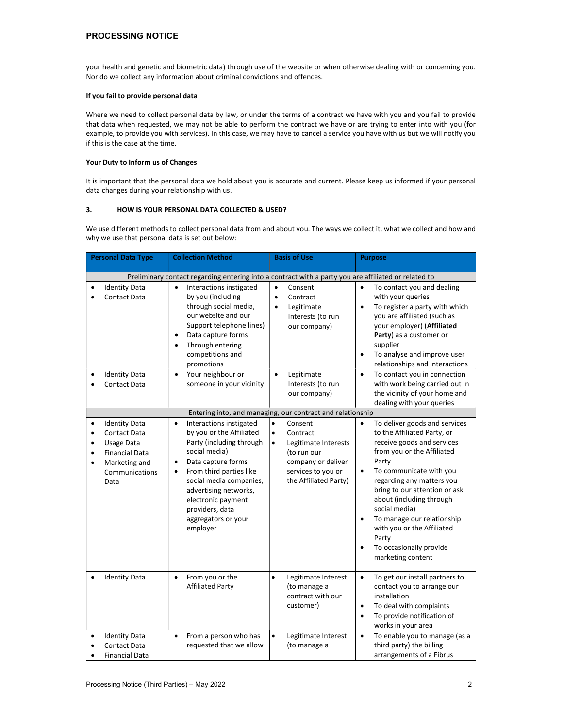## PROCESSING NOTICE

your health and genetic and biometric data) through use of the website or when otherwise dealing with or concerning you. Nor do we collect any information about criminal convictions and offences.

## If you fail to provide personal data

Where we need to collect personal data by law, or under the terms of a contract we have with you and you fail to provide that data when requested, we may not be able to perform the contract we have or are trying to enter into with you (for example, to provide you with services). In this case, we may have to cancel a service you have with us but we will notify you if this is the case at the time.

#### Your Duty to Inform us of Changes

It is important that the personal data we hold about you is accurate and current. Please keep us informed if your personal data changes during your relationship with us.

## 3. HOW IS YOUR PERSONAL DATA COLLECTED & USED?

We use different methods to collect personal data from and about you. The ways we collect it, what we collect and how and why we use that personal data is set out below:

| <b>Personal Data Type</b>                                                                                                                                              | <b>Collection Method</b>                                                                                                                                                                                                                                                                                         | <b>Basis of Use</b>                                                                                                                                                    | <b>Purpose</b>                                                                                                                                                                                                                                                                                                                                                                                            |  |  |  |  |  |
|------------------------------------------------------------------------------------------------------------------------------------------------------------------------|------------------------------------------------------------------------------------------------------------------------------------------------------------------------------------------------------------------------------------------------------------------------------------------------------------------|------------------------------------------------------------------------------------------------------------------------------------------------------------------------|-----------------------------------------------------------------------------------------------------------------------------------------------------------------------------------------------------------------------------------------------------------------------------------------------------------------------------------------------------------------------------------------------------------|--|--|--|--|--|
| Preliminary contact regarding entering into a contract with a party you are affiliated or related to                                                                   |                                                                                                                                                                                                                                                                                                                  |                                                                                                                                                                        |                                                                                                                                                                                                                                                                                                                                                                                                           |  |  |  |  |  |
| <b>Identity Data</b><br>٠<br><b>Contact Data</b><br>$\bullet$                                                                                                          | Interactions instigated<br>$\bullet$<br>by you (including<br>through social media,<br>our website and our<br>Support telephone lines)<br>Data capture forms<br>$\bullet$<br>Through entering<br>$\bullet$<br>competitions and<br>promotions                                                                      | $\bullet$<br>Consent<br>$\bullet$<br>Contract<br>Legitimate<br>$\bullet$<br>Interests (to run<br>our company)                                                          | To contact you and dealing<br>$\bullet$<br>with your queries<br>To register a party with which<br>$\bullet$<br>you are affiliated (such as<br>your employer) (Affiliated<br>Party) as a customer or<br>supplier<br>To analyse and improve user<br>relationships and interactions                                                                                                                          |  |  |  |  |  |
| <b>Identity Data</b><br>Contact Data                                                                                                                                   | Your neighbour or<br>$\bullet$<br>someone in your vicinity                                                                                                                                                                                                                                                       | Legitimate<br>$\bullet$<br>Interests (to run<br>our company)                                                                                                           | To contact you in connection<br>$\bullet$<br>with work being carried out in<br>the vicinity of your home and<br>dealing with your queries                                                                                                                                                                                                                                                                 |  |  |  |  |  |
|                                                                                                                                                                        |                                                                                                                                                                                                                                                                                                                  | Entering into, and managing, our contract and relationship                                                                                                             |                                                                                                                                                                                                                                                                                                                                                                                                           |  |  |  |  |  |
| <b>Identity Data</b><br>٠<br><b>Contact Data</b><br>٠<br>Usage Data<br>$\bullet$<br><b>Financial Data</b><br>٠<br>Marketing and<br>$\bullet$<br>Communications<br>Data | Interactions instigated<br>$\bullet$<br>by you or the Affiliated<br>Party (including through<br>social media)<br>Data capture forms<br>٠<br>From third parties like<br>$\bullet$<br>social media companies,<br>advertising networks,<br>electronic payment<br>providers, data<br>aggregators or your<br>employer | Consent<br>$\bullet$<br>$\bullet$<br>Contract<br>Legitimate Interests<br>$\bullet$<br>(to run our<br>company or deliver<br>services to you or<br>the Affiliated Party) | To deliver goods and services<br>to the Affiliated Party, or<br>receive goods and services<br>from you or the Affiliated<br>Party<br>To communicate with you<br>$\bullet$<br>regarding any matters you<br>bring to our attention or ask<br>about (including through<br>social media)<br>To manage our relationship<br>with you or the Affiliated<br>Party<br>To occasionally provide<br>marketing content |  |  |  |  |  |
| <b>Identity Data</b><br>٠                                                                                                                                              | From you or the<br>$\bullet$<br><b>Affiliated Party</b>                                                                                                                                                                                                                                                          | $\bullet$<br>Legitimate Interest<br>(to manage a<br>contract with our<br>customer)                                                                                     | To get our install partners to<br>$\bullet$<br>contact you to arrange our<br>installation<br>To deal with complaints<br>$\bullet$<br>To provide notification of<br>$\bullet$<br>works in your area                                                                                                                                                                                                        |  |  |  |  |  |
| <b>Identity Data</b><br>Contact Data<br><b>Financial Data</b>                                                                                                          | From a person who has<br>$\bullet$<br>requested that we allow                                                                                                                                                                                                                                                    | $\bullet$<br>Legitimate Interest<br>(to manage a                                                                                                                       | To enable you to manage (as a<br>$\bullet$<br>third party) the billing<br>arrangements of a Fibrus                                                                                                                                                                                                                                                                                                        |  |  |  |  |  |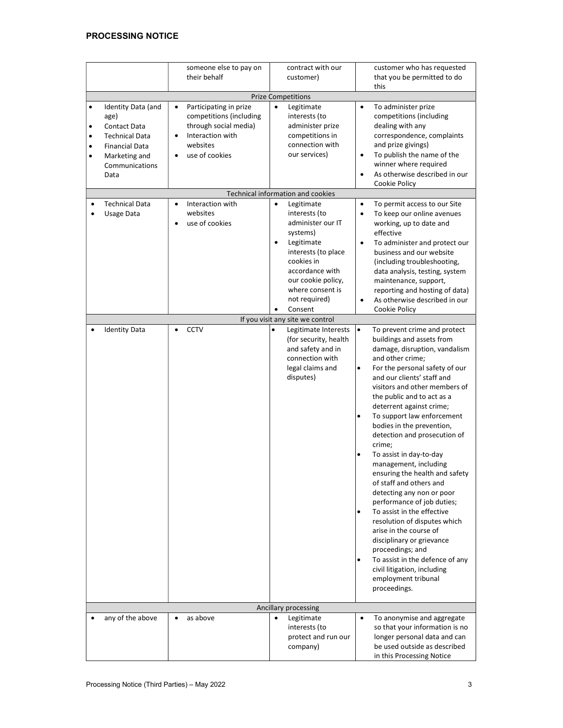# PROCESSING NOTICE

|                                                       |                                                                                                                                         | someone else to pay on<br>their behalf                                                                                                                              | contract with our<br>customer)                                                                                                                                                                          |                                                            | customer who has requested<br>that you be permitted to do<br>this                                                                                                                                                                                                                                                                                                                                                                                                                                                                                                                                                                                                                                                                                                                                            |  |  |  |
|-------------------------------------------------------|-----------------------------------------------------------------------------------------------------------------------------------------|---------------------------------------------------------------------------------------------------------------------------------------------------------------------|---------------------------------------------------------------------------------------------------------------------------------------------------------------------------------------------------------|------------------------------------------------------------|--------------------------------------------------------------------------------------------------------------------------------------------------------------------------------------------------------------------------------------------------------------------------------------------------------------------------------------------------------------------------------------------------------------------------------------------------------------------------------------------------------------------------------------------------------------------------------------------------------------------------------------------------------------------------------------------------------------------------------------------------------------------------------------------------------------|--|--|--|
|                                                       | <b>Prize Competitions</b>                                                                                                               |                                                                                                                                                                     |                                                                                                                                                                                                         |                                                            |                                                                                                                                                                                                                                                                                                                                                                                                                                                                                                                                                                                                                                                                                                                                                                                                              |  |  |  |
| $\bullet$<br>٠<br>$\bullet$<br>$\bullet$<br>$\bullet$ | Identity Data (and<br>age)<br>Contact Data<br><b>Technical Data</b><br><b>Financial Data</b><br>Marketing and<br>Communications<br>Data | Participating in prize<br>$\bullet$<br>competitions (including<br>through social media)<br>Interaction with<br>$\bullet$<br>websites<br>use of cookies<br>$\bullet$ | $\bullet$<br>Legitimate<br>interests (to<br>administer prize<br>competitions in<br>connection with<br>our services)<br>Technical information and cookies                                                | $\bullet$<br>$\bullet$<br>$\bullet$                        | To administer prize<br>competitions (including<br>dealing with any<br>correspondence, complaints<br>and prize givings)<br>To publish the name of the<br>winner where required<br>As otherwise described in our<br>Cookie Policy                                                                                                                                                                                                                                                                                                                                                                                                                                                                                                                                                                              |  |  |  |
| $\bullet$                                             | <b>Technical Data</b>                                                                                                                   | Interaction with<br>$\bullet$                                                                                                                                       | Legitimate<br>$\bullet$                                                                                                                                                                                 | $\bullet$                                                  | To permit access to our Site                                                                                                                                                                                                                                                                                                                                                                                                                                                                                                                                                                                                                                                                                                                                                                                 |  |  |  |
|                                                       | Usage Data                                                                                                                              | websites<br>use of cookies<br>$\bullet$                                                                                                                             | interests (to<br>administer our IT<br>systems)<br>Legitimate<br>$\bullet$<br>interests (to place<br>cookies in<br>accordance with<br>our cookie policy,<br>where consent is<br>not required)<br>Consent | $\bullet$<br>$\bullet$                                     | To keep our online avenues<br>working, up to date and<br>effective<br>To administer and protect our<br>business and our website<br>(including troubleshooting,<br>data analysis, testing, system<br>maintenance, support,<br>reporting and hosting of data)<br>As otherwise described in our<br>Cookie Policy                                                                                                                                                                                                                                                                                                                                                                                                                                                                                                |  |  |  |
|                                                       |                                                                                                                                         |                                                                                                                                                                     | If you visit any site we control                                                                                                                                                                        |                                                            |                                                                                                                                                                                                                                                                                                                                                                                                                                                                                                                                                                                                                                                                                                                                                                                                              |  |  |  |
| $\bullet$                                             | <b>Identity Data</b>                                                                                                                    | <b>CCTV</b><br>$\bullet$                                                                                                                                            | Legitimate Interests<br>(for security, health<br>and safety and in<br>connection with<br>legal claims and<br>disputes)                                                                                  | $\bullet$<br>٠<br>$\bullet$<br>٠<br>$\bullet$<br>$\bullet$ | To prevent crime and protect<br>buildings and assets from<br>damage, disruption, vandalism<br>and other crime;<br>For the personal safety of our<br>and our clients' staff and<br>visitors and other members of<br>the public and to act as a<br>deterrent against crime;<br>To support law enforcement<br>bodies in the prevention,<br>detection and prosecution of<br>crime;<br>To assist in day-to-day<br>management, including<br>ensuring the health and safety<br>of staff and others and<br>detecting any non or poor<br>performance of job duties;<br>To assist in the effective<br>resolution of disputes which<br>arise in the course of<br>disciplinary or grievance<br>proceedings; and<br>To assist in the defence of any<br>civil litigation, including<br>employment tribunal<br>proceedings. |  |  |  |
|                                                       |                                                                                                                                         |                                                                                                                                                                     | Ancillary processing                                                                                                                                                                                    |                                                            |                                                                                                                                                                                                                                                                                                                                                                                                                                                                                                                                                                                                                                                                                                                                                                                                              |  |  |  |
|                                                       | any of the above                                                                                                                        | as above<br>$\bullet$                                                                                                                                               | $\bullet$<br>Legitimate<br>interests (to<br>protect and run our<br>company)                                                                                                                             | $\bullet$                                                  | To anonymise and aggregate<br>so that your information is no<br>longer personal data and can<br>be used outside as described<br>in this Processing Notice                                                                                                                                                                                                                                                                                                                                                                                                                                                                                                                                                                                                                                                    |  |  |  |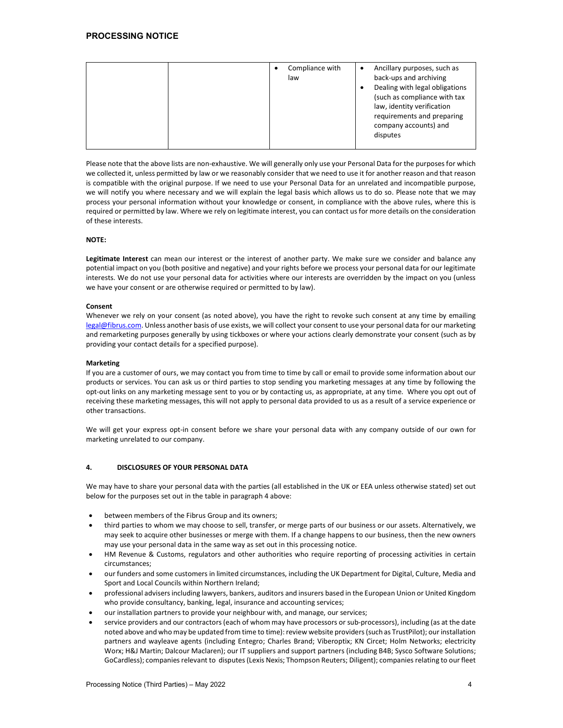| law, identity verification<br>requirements and preparing<br>company accounts) and<br>disputes |  |  | Compliance with<br>C<br>law | Ancillary purposes, such as<br>$\bullet$<br>back-ups and archiving<br>Dealing with legal obligations<br>(such as compliance with tax |
|-----------------------------------------------------------------------------------------------|--|--|-----------------------------|--------------------------------------------------------------------------------------------------------------------------------------|
|-----------------------------------------------------------------------------------------------|--|--|-----------------------------|--------------------------------------------------------------------------------------------------------------------------------------|

Please note that the above lists are non-exhaustive. We will generally only use your Personal Data for the purposes for which we collected it, unless permitted by law or we reasonably consider that we need to use it for another reason and that reason is compatible with the original purpose. If we need to use your Personal Data for an unrelated and incompatible purpose, we will notify you where necessary and we will explain the legal basis which allows us to do so. Please note that we may process your personal information without your knowledge or consent, in compliance with the above rules, where this is required or permitted by law. Where we rely on legitimate interest, you can contact us for more details on the consideration of these interests.

## NOTE:

Legitimate Interest can mean our interest or the interest of another party. We make sure we consider and balance any potential impact on you (both positive and negative) and your rights before we process your personal data for our legitimate interests. We do not use your personal data for activities where our interests are overridden by the impact on you (unless we have your consent or are otherwise required or permitted to by law).

#### Consent

Whenever we rely on your consent (as noted above), you have the right to revoke such consent at any time by emailing legal@fibrus.com. Unless another basis of use exists, we will collect your consent to use your personal data for our marketing and remarketing purposes generally by using tickboxes or where your actions clearly demonstrate your consent (such as by providing your contact details for a specified purpose).

#### Marketing

If you are a customer of ours, we may contact you from time to time by call or email to provide some information about our products or services. You can ask us or third parties to stop sending you marketing messages at any time by following the opt-out links on any marketing message sent to you or by contacting us, as appropriate, at any time. Where you opt out of receiving these marketing messages, this will not apply to personal data provided to us as a result of a service experience or other transactions.

We will get your express opt-in consent before we share your personal data with any company outside of our own for marketing unrelated to our company.

## 4. DISCLOSURES OF YOUR PERSONAL DATA

We may have to share your personal data with the parties (all established in the UK or EEA unless otherwise stated) set out below for the purposes set out in the table in paragraph 4 above:

- between members of the Fibrus Group and its owners;
- third parties to whom we may choose to sell, transfer, or merge parts of our business or our assets. Alternatively, we may seek to acquire other businesses or merge with them. If a change happens to our business, then the new owners may use your personal data in the same way as set out in this processing notice.
- HM Revenue & Customs, regulators and other authorities who require reporting of processing activities in certain circumstances;
- our funders and some customers in limited circumstances, including the UK Department for Digital, Culture, Media and Sport and Local Councils within Northern Ireland;
- professional advisers including lawyers, bankers, auditors and insurers based in the European Union or United Kingdom who provide consultancy, banking, legal, insurance and accounting services;
- our installation partners to provide your neighbour with, and manage, our services;
- service providers and our contractors (each of whom may have processors or sub-processors), including (as at the date noted above and who may be updated from time to time): review website providers (such as TrustPilot); our installation partners and wayleave agents (including Entegro; Charles Brand; Viberoptix; KN Circet; Holm Networks; electricity Worx; H&J Martin; Dalcour Maclaren); our IT suppliers and support partners (including B4B; Sysco Software Solutions; GoCardless); companies relevant to disputes (Lexis Nexis; Thompson Reuters; Diligent); companies relating to our fleet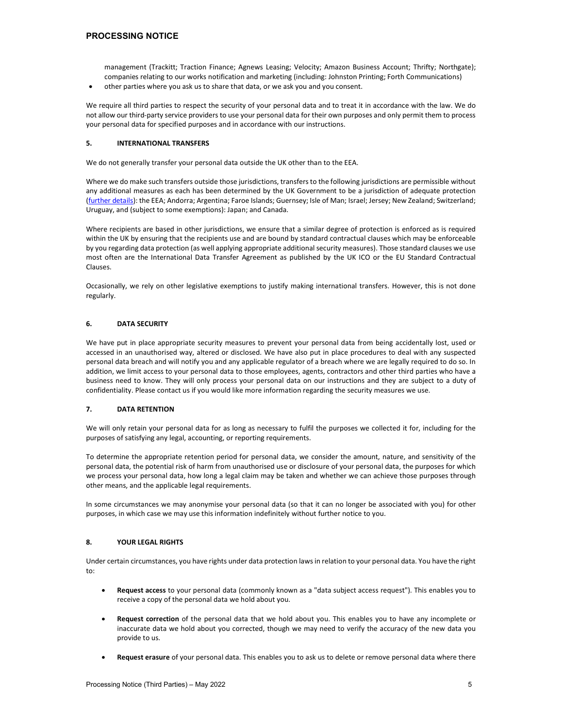management (Trackitt; Traction Finance; Agnews Leasing; Velocity; Amazon Business Account; Thrifty; Northgate); companies relating to our works notification and marketing (including: Johnston Printing; Forth Communications)

other parties where you ask us to share that data, or we ask you and you consent.

We require all third parties to respect the security of your personal data and to treat it in accordance with the law. We do not allow our third-party service providers to use your personal data for their own purposes and only permit them to process your personal data for specified purposes and in accordance with our instructions.

## 5. INTERNATIONAL TRANSFERS

We do not generally transfer your personal data outside the UK other than to the EEA.

Where we do make such transfers outside those jurisdictions, transfers to the following jurisdictions are permissible without any additional measures as each has been determined by the UK Government to be a jurisdiction of adequate protection (further details): the EEA; Andorra; Argentina; Faroe Islands; Guernsey; Isle of Man; Israel; Jersey; New Zealand; Switzerland; Uruguay, and (subject to some exemptions): Japan; and Canada.

Where recipients are based in other jurisdictions, we ensure that a similar degree of protection is enforced as is required within the UK by ensuring that the recipients use and are bound by standard contractual clauses which may be enforceable by you regarding data protection (as well applying appropriate additional security measures). Those standard clauses we use most often are the International Data Transfer Agreement as published by the UK ICO or the EU Standard Contractual Clauses.

Occasionally, we rely on other legislative exemptions to justify making international transfers. However, this is not done regularly.

## 6. DATA SECURITY

We have put in place appropriate security measures to prevent your personal data from being accidentally lost, used or accessed in an unauthorised way, altered or disclosed. We have also put in place procedures to deal with any suspected personal data breach and will notify you and any applicable regulator of a breach where we are legally required to do so. In addition, we limit access to your personal data to those employees, agents, contractors and other third parties who have a business need to know. They will only process your personal data on our instructions and they are subject to a duty of confidentiality. Please contact us if you would like more information regarding the security measures we use.

## 7. DATA RETENTION

We will only retain your personal data for as long as necessary to fulfil the purposes we collected it for, including for the purposes of satisfying any legal, accounting, or reporting requirements.

To determine the appropriate retention period for personal data, we consider the amount, nature, and sensitivity of the personal data, the potential risk of harm from unauthorised use or disclosure of your personal data, the purposes for which we process your personal data, how long a legal claim may be taken and whether we can achieve those purposes through other means, and the applicable legal requirements.

In some circumstances we may anonymise your personal data (so that it can no longer be associated with you) for other purposes, in which case we may use this information indefinitely without further notice to you.

## 8. YOUR LEGAL RIGHTS

Under certain circumstances, you have rights under data protection laws in relation to your personal data. You have the right to:

- Request access to your personal data (commonly known as a "data subject access request"). This enables you to receive a copy of the personal data we hold about you.
- Request correction of the personal data that we hold about you. This enables you to have any incomplete or inaccurate data we hold about you corrected, though we may need to verify the accuracy of the new data you provide to us.
- Request erasure of your personal data. This enables you to ask us to delete or remove personal data where there